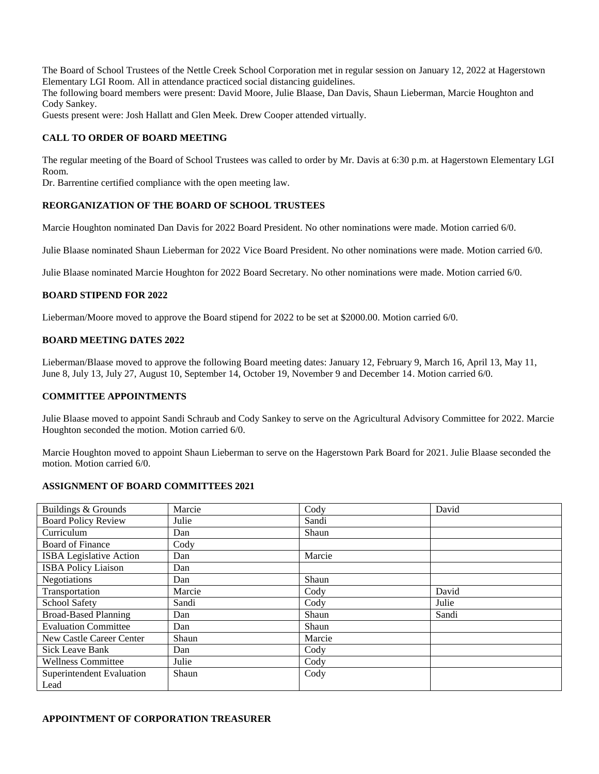The Board of School Trustees of the Nettle Creek School Corporation met in regular session on January 12, 2022 at Hagerstown Elementary LGI Room. All in attendance practiced social distancing guidelines.

The following board members were present: David Moore, Julie Blaase, Dan Davis, Shaun Lieberman, Marcie Houghton and Cody Sankey.

Guests present were: Josh Hallatt and Glen Meek. Drew Cooper attended virtually.

### **CALL TO ORDER OF BOARD MEETING**

The regular meeting of the Board of School Trustees was called to order by Mr. Davis at 6:30 p.m. at Hagerstown Elementary LGI Room.

Dr. Barrentine certified compliance with the open meeting law.

#### **REORGANIZATION OF THE BOARD OF SCHOOL TRUSTEES**

Marcie Houghton nominated Dan Davis for 2022 Board President. No other nominations were made. Motion carried 6/0.

Julie Blaase nominated Shaun Lieberman for 2022 Vice Board President. No other nominations were made. Motion carried 6/0.

Julie Blaase nominated Marcie Houghton for 2022 Board Secretary. No other nominations were made. Motion carried 6/0.

# **BOARD STIPEND FOR 2022**

Lieberman/Moore moved to approve the Board stipend for 2022 to be set at \$2000.00. Motion carried 6/0.

#### **BOARD MEETING DATES 2022**

Lieberman/Blaase moved to approve the following Board meeting dates: January 12, February 9, March 16, April 13, May 11, June 8, July 13, July 27, August 10, September 14, October 19, November 9 and December 14. Motion carried 6/0.

#### **COMMITTEE APPOINTMENTS**

Julie Blaase moved to appoint Sandi Schraub and Cody Sankey to serve on the Agricultural Advisory Committee for 2022. Marcie Houghton seconded the motion. Motion carried 6/0.

Marcie Houghton moved to appoint Shaun Lieberman to serve on the Hagerstown Park Board for 2021. Julie Blaase seconded the motion. Motion carried 6/0.

# **ASSIGNMENT OF BOARD COMMITTEES 2021**

| Buildings & Grounds             | Marcie | Cody   | David |
|---------------------------------|--------|--------|-------|
| <b>Board Policy Review</b>      | Julie  | Sandi  |       |
| Curriculum                      | Dan    | Shaun  |       |
| Board of Finance                | Cody   |        |       |
| <b>ISBA</b> Legislative Action  | Dan    | Marcie |       |
| <b>ISBA Policy Liaison</b>      | Dan    |        |       |
| Negotiations                    | Dan    | Shaun  |       |
| Transportation                  | Marcie | Cody   | David |
| School Safety                   | Sandi  | Cody   | Julie |
| <b>Broad-Based Planning</b>     | Dan    | Shaun  | Sandi |
| <b>Evaluation Committee</b>     | Dan    | Shaun  |       |
| <b>New Castle Career Center</b> | Shaun  | Marcie |       |
| <b>Sick Leave Bank</b>          | Dan    | Cody   |       |
| <b>Wellness Committee</b>       | Julie  | Cody   |       |
| Superintendent Evaluation       | Shaun  | Cody   |       |
| Lead                            |        |        |       |

#### **APPOINTMENT OF CORPORATION TREASURER**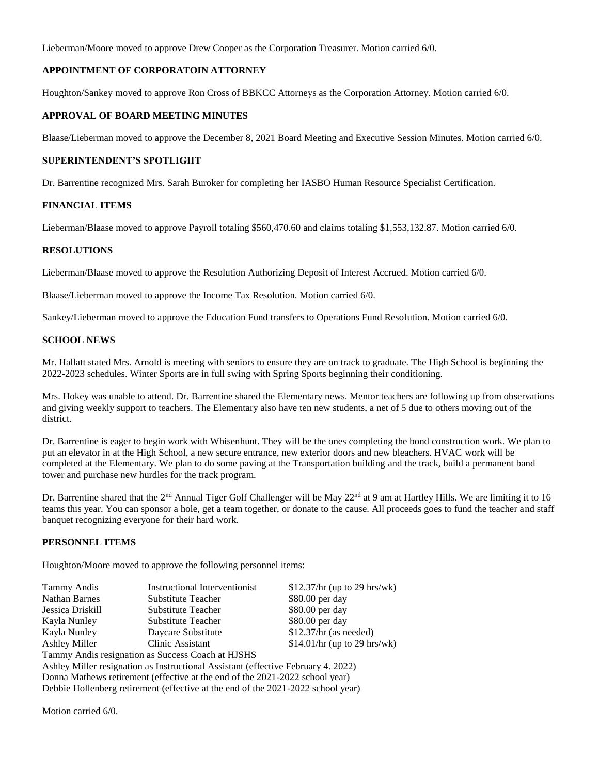Lieberman/Moore moved to approve Drew Cooper as the Corporation Treasurer. Motion carried 6/0.

# **APPOINTMENT OF CORPORATOIN ATTORNEY**

Houghton/Sankey moved to approve Ron Cross of BBKCC Attorneys as the Corporation Attorney. Motion carried 6/0.

# **APPROVAL OF BOARD MEETING MINUTES**

Blaase/Lieberman moved to approve the December 8, 2021 Board Meeting and Executive Session Minutes. Motion carried 6/0.

### **SUPERINTENDENT'S SPOTLIGHT**

Dr. Barrentine recognized Mrs. Sarah Buroker for completing her IASBO Human Resource Specialist Certification.

#### **FINANCIAL ITEMS**

Lieberman/Blaase moved to approve Payroll totaling \$560,470.60 and claims totaling \$1,553,132.87. Motion carried 6/0.

# **RESOLUTIONS**

Lieberman/Blaase moved to approve the Resolution Authorizing Deposit of Interest Accrued. Motion carried 6/0.

Blaase/Lieberman moved to approve the Income Tax Resolution. Motion carried 6/0.

Sankey/Lieberman moved to approve the Education Fund transfers to Operations Fund Resolution. Motion carried 6/0.

#### **SCHOOL NEWS**

Mr. Hallatt stated Mrs. Arnold is meeting with seniors to ensure they are on track to graduate. The High School is beginning the 2022-2023 schedules. Winter Sports are in full swing with Spring Sports beginning their conditioning.

Mrs. Hokey was unable to attend. Dr. Barrentine shared the Elementary news. Mentor teachers are following up from observations and giving weekly support to teachers. The Elementary also have ten new students, a net of 5 due to others moving out of the district.

Dr. Barrentine is eager to begin work with Whisenhunt. They will be the ones completing the bond construction work. We plan to put an elevator in at the High School, a new secure entrance, new exterior doors and new bleachers. HVAC work will be completed at the Elementary. We plan to do some paving at the Transportation building and the track, build a permanent band tower and purchase new hurdles for the track program.

Dr. Barrentine shared that the 2<sup>nd</sup> Annual Tiger Golf Challenger will be May  $22<sup>nd</sup>$  at 9 am at Hartley Hills. We are limiting it to 16 teams this year. You can sponsor a hole, get a team together, or donate to the cause. All proceeds goes to fund the teacher and staff banquet recognizing everyone for their hard work.

# **PERSONNEL ITEMS**

Houghton/Moore moved to approve the following personnel items:

| Tammy Andis                                                                       | <b>Instructional Interventionist</b> | $$12.37/hr$ (up to 29 hrs/wk) |  |  |
|-----------------------------------------------------------------------------------|--------------------------------------|-------------------------------|--|--|
| <b>Nathan Barnes</b>                                                              | Substitute Teacher                   | \$80.00 per day               |  |  |
| Jessica Driskill                                                                  | Substitute Teacher                   | \$80.00 per day               |  |  |
| Kayla Nunley                                                                      | Substitute Teacher                   | \$80.00 per day               |  |  |
| Kayla Nunley                                                                      | Daycare Substitute                   | $$12.37/hr$ (as needed)       |  |  |
| <b>Ashley Miller</b>                                                              | Clinic Assistant                     | \$14.01/hr (up to 29 hrs/wk)  |  |  |
| Tammy Andis resignation as Success Coach at HJSHS                                 |                                      |                               |  |  |
| Ashley Miller resignation as Instructional Assistant (effective February 4. 2022) |                                      |                               |  |  |
| Donna Mathews retirement (effective at the end of the 2021-2022 school year)      |                                      |                               |  |  |
| Debbie Hollenberg retirement (effective at the end of the 2021-2022 school year)  |                                      |                               |  |  |

Motion carried 6/0.